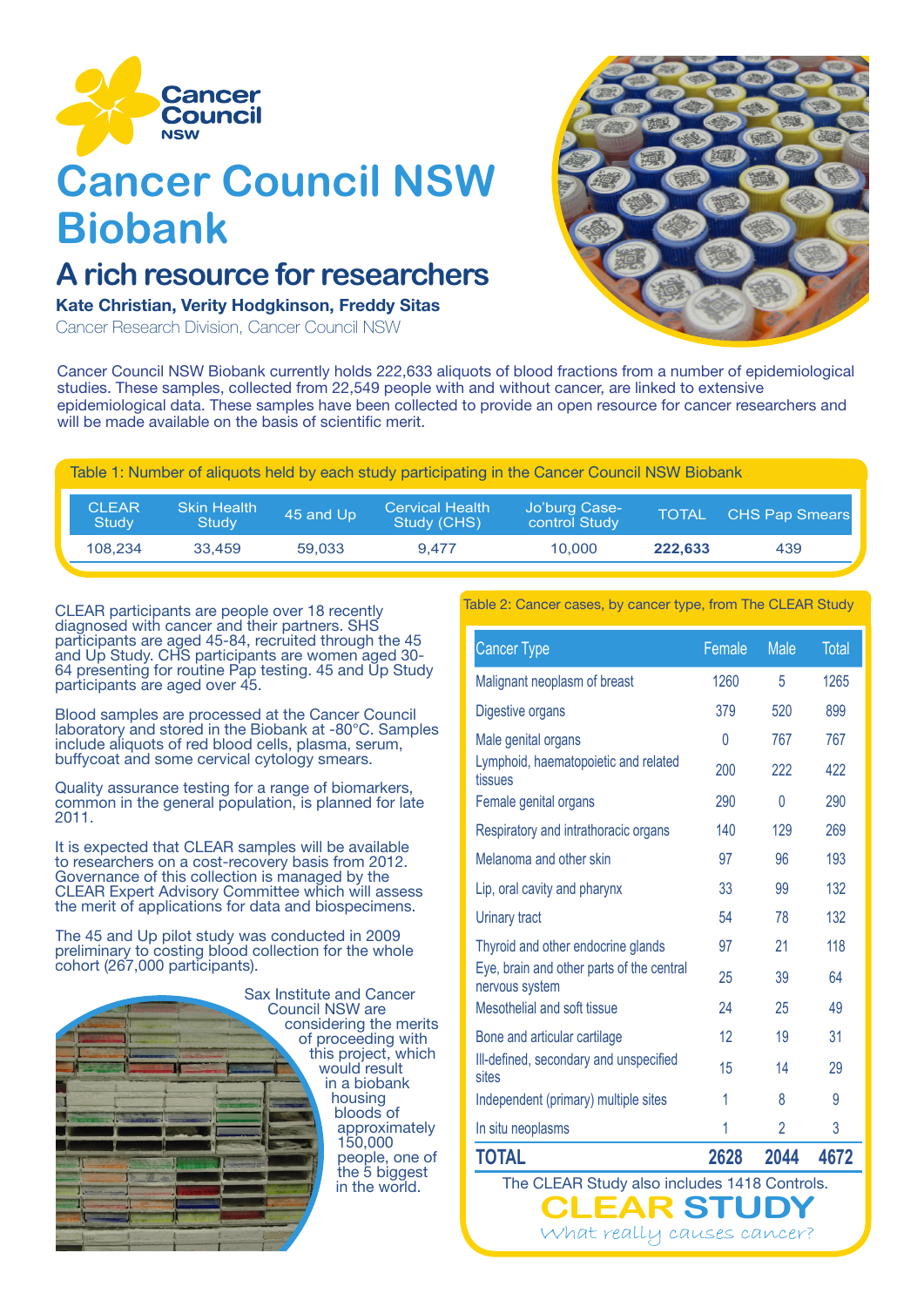

# **Cancer Council NSW Biobank**

## **A rich resource for researchers**

#### Kate Christian, Verity Hodgkinson, Freddy Sitas

Cancer Research Division, Cancer Council NSW



Cancer Council NSW Biobank currently holds 222,633 aliquots of blood fractions from a number of epidemiological studies. These samples, collected from 22,549 people with and without cancer, are linked to extensive epidemiological data. These samples have been collected to provide an open resource for cancer researchers and will be made available on the basis of scientific merit.

| Table 1: Number of aliquots held by each study participating in the Cancer Council NSW Biobank |  |  |
|------------------------------------------------------------------------------------------------|--|--|
|                                                                                                |  |  |

| CLEAR<br><b>Study</b> | <b>Skin Health</b><br>Study | 45 and Up | <b>Cervical Health</b><br>Study (CHS) | Jo'burg Case-<br>control Study | <b>TOTAL</b> | <b>CHS Pap Smears</b> |
|-----------------------|-----------------------------|-----------|---------------------------------------|--------------------------------|--------------|-----------------------|
| 108.234               | 33.459                      | 59.033    | 9.477                                 | 10.000                         | 222.633      | 439                   |

CLEAR participants are people over 18 recently diagnosed with cancer and their partners. SHS participants are aged 45-84, recruited through the 45 and Up Study. CHS participants are women aged 30- 64 presenting for routine Pap testing. 45 and Up Study participants are aged over 45.

Blood samples are processed at the Cancer Council laboratory and stored in the Biobank at -80°C. Samples include aliquots of red blood cells, plasma, serum, buffycoat and some cervical cytology smears.

Quality assurance testing for a range of biomarkers, common in the general population, is planned for late 2011.

It is expected that CLEAR samples will be available to researchers on a cost-recovery basis from 2012. Governance of this collection is managed by the CLEAR Expert Advisory Committee which will assess the merit of applications for data and biospecimens.

The 45 and Up pilot study was conducted in 2009 preliminary to costing blood collection for the whole cohort (267,000 participants).



Table 2: Cancer cases, by cancer type, from The CLEAR Study

| <b>Cancer Type</b>                                          | Female | <b>Male</b> | <b>Total</b> |
|-------------------------------------------------------------|--------|-------------|--------------|
| Malignant neoplasm of breast                                | 1260   | 5           | 1265         |
| Digestive organs                                            | 379    | 520         | 899          |
| Male genital organs                                         | 0      | 767         | 767          |
| Lymphoid, haematopoietic and related<br>tissues             | 200    | 222         | 422          |
| Female genital organs                                       | 290    | 0           | 290          |
| Respiratory and intrathoracic organs                        | 140    | 129         | 269          |
| Melanoma and other skin                                     | 97     | 96          | 193          |
| Lip, oral cavity and pharynx                                | 33     | 99          | 132          |
| <b>Urinary tract</b>                                        | 54     | 78          | 132          |
| Thyroid and other endocrine glands                          | 97     | 21          | 118          |
| Eye, brain and other parts of the central<br>nervous system | 25     | 39          | 64           |
| Mesothelial and soft tissue                                 | 24     | 25          | 49           |
| Bone and articular cartilage                                | 12     | 19          | 31           |
| III-defined, secondary and unspecified<br>sites             | 15     | 14          | 29           |
| Independent (primary) multiple sites                        | 1      | 8           | 9            |
| In situ neoplasms                                           | 1      | 2           | 3            |
| <b>TOTAL</b>                                                | 2628   | 2044        | 4672         |

The CLEAR Study also includes 1418 Controls.

What really causes cancer?

**R STUDY**